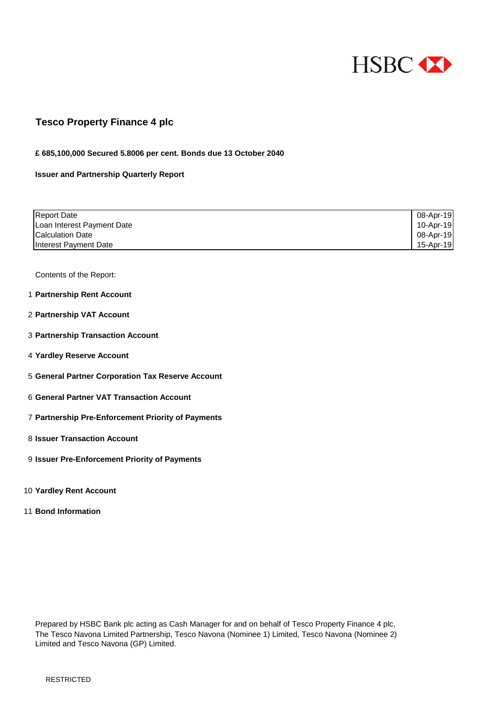

## **Tesco Property Finance 4 plc**

#### **£ 685,100,000 Secured 5.8006 per cent. Bonds due 13 October 2040**

#### **Issuer and Partnership Quarterly Report**

| <b>Report Date</b>         | 08-Apr-19 |
|----------------------------|-----------|
| Loan Interest Payment Date | 10-Apr-19 |
| <b>Calculation Date</b>    | 08-Apr-19 |
| Interest Payment Date      | 15-Apr-19 |

Contents of the Report:

- 1 **Partnership Rent Account**
- 2 **Partnership VAT Account**
- 3 **Partnership Transaction Account**
- 4 **Yardley Reserve Account**
- 5 **General Partner Corporation Tax Reserve Account**
- 6 **General Partner VAT Transaction Account**
- 7 **Partnership Pre-Enforcement Priority of Payments**
- 8 **Issuer Transaction Account**
- 9 **Issuer Pre-Enforcement Priority of Payments**
- 10 **Yardley Rent Account**
- 11 **Bond Information**

Prepared by HSBC Bank plc acting as Cash Manager for and on behalf of Tesco Property Finance 4 plc, The Tesco Navona Limited Partnership, Tesco Navona (Nominee 1) Limited, Tesco Navona (Nominee 2) Limited and Tesco Navona (GP) Limited.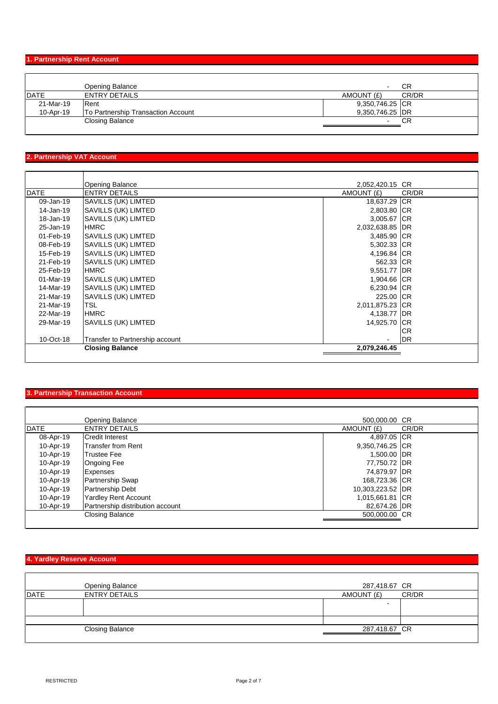### **1. Partnership Rent Account**

|              | Opening Balance                    | $\sim$          | CR    |
|--------------|------------------------------------|-----------------|-------|
| <b>IDATE</b> | <b>ENTRY DETAILS</b>               | AMOUNT (£)      | CR/DR |
| 21-Mar-19    | Rent                               | 9,350,746.25 CR |       |
| 10-Apr-19    | To Partnership Transaction Account | 9,350,746.25 DR |       |
|              | Closing Balance                    |                 | СR    |
|              |                                    |                 |       |

## **2. Partnership VAT Account**

|             | <b>Opening Balance</b>          | 2,052,420.15 CR |            |
|-------------|---------------------------------|-----------------|------------|
| <b>DATE</b> | <b>ENTRY DETAILS</b>            | AMOUNT (£)      | CR/DR      |
| 09-Jan-19   | SAVILLS (UK) LIMTED             | 18,637.29 CR    |            |
| 14-Jan-19   | SAVILLS (UK) LIMTED             | 2,803.80 CR     |            |
| 18-Jan-19   | SAVILLS (UK) LIMTED             | 3,005.67 CR     |            |
| 25-Jan-19   | <b>HMRC</b>                     | 2,032,638.85 DR |            |
| 01-Feb-19   | <b>SAVILLS (UK) LIMTED</b>      | 3,485.90 CR     |            |
| 08-Feb-19   | SAVILLS (UK) LIMTED             | 5,302.33 CR     |            |
| 15-Feb-19   | <b>SAVILLS (UK) LIMTED</b>      | 4,196.84 CR     |            |
| 21-Feb-19   | SAVILLS (UK) LIMTED             | 562.33 CR       |            |
| 25-Feb-19   | <b>HMRC</b>                     | 9,551.77 DR     |            |
| 01-Mar-19   | <b>SAVILLS (UK) LIMTED</b>      | 1,904.66 CR     |            |
| 14-Mar-19   | <b>SAVILLS (UK) LIMTED</b>      | 6,230.94 CR     |            |
| 21-Mar-19   | <b>SAVILLS (UK) LIMTED</b>      | 225.00 ICR      |            |
| 21-Mar-19   | <b>TSL</b>                      | 2,011,875.23 CR |            |
| 22-Mar-19   | <b>HMRC</b>                     | 4,138.77 DR     |            |
| 29-Mar-19   | SAVILLS (UK) LIMTED             | 14,925.70 CR    |            |
|             |                                 |                 | <b>CR</b>  |
| 10-Oct-18   | Transfer to Partnership account |                 | <b>IDR</b> |
|             | <b>Closing Balance</b>          | 2,079,246.45    |            |
|             |                                 |                 |            |

## **3. Partnership Transaction Account**

|             | Opening Balance                  | 500,000,00 CR    |       |
|-------------|----------------------------------|------------------|-------|
| <b>DATE</b> | <b>ENTRY DETAILS</b>             | AMOUNT (£)       | CR/DR |
| 08-Apr-19   | <b>Credit Interest</b>           | 4,897.05 CR      |       |
| 10-Apr-19   | <b>Transfer from Rent</b>        | 9,350,746.25 CR  |       |
| 10-Apr-19   | <b>Trustee Fee</b>               | 1,500.00 DR      |       |
| 10-Apr-19   | <b>Ongoing Fee</b>               | 77,750.72 DR     |       |
| 10-Apr-19   | <b>Expenses</b>                  | 74.879.97 IDR    |       |
| 10-Apr-19   | <b>Partnership Swap</b>          | 168,723.36 CR    |       |
| 10-Apr-19   | <b>Partnership Debt</b>          | 10,303,223.52 DR |       |
| 10-Apr-19   | <b>Yardley Rent Account</b>      | 1,015,661.81 CR  |       |
| 10-Apr-19   | Partnership distribution account | 82,674.26 DR     |       |
|             | Closing Balance                  | 500,000.00 CR    |       |
|             |                                  |                  |       |

# **4. Yardley Reserve Account**

|             | Opening Balance        | 287,418.67 CR |       |
|-------------|------------------------|---------------|-------|
| <b>DATE</b> | <b>ENTRY DETAILS</b>   | AMOUNT (£)    | CR/DR |
|             |                        |               |       |
|             |                        |               |       |
|             | <b>Closing Balance</b> | 287,418.67 CR |       |
|             |                        |               |       |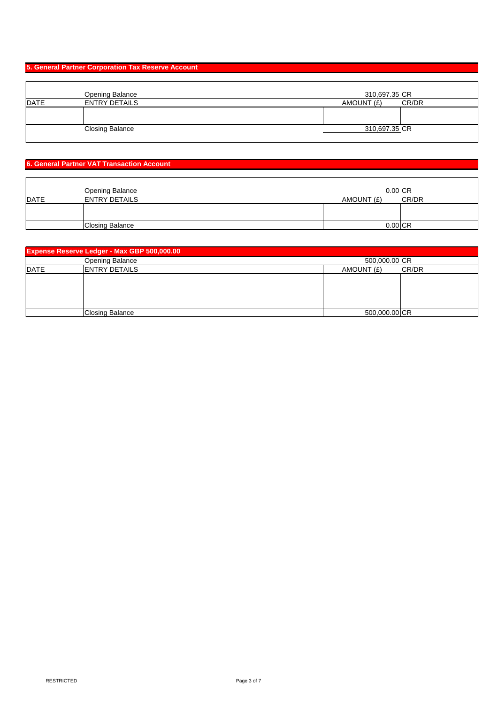### **5. General Partner Corporation Tax Reserve Account**

|             | <b>Opening Balance</b> | 310,697.35 CR       |
|-------------|------------------------|---------------------|
| <b>DATE</b> | <b>ENTRY DETAILS</b>   | AMOUNT (£)<br>CR/DR |
|             |                        |                     |
|             |                        |                     |
|             | <b>Closing Balance</b> | 310,697.35 CR       |
|             |                        |                     |

### **6. General Partner VAT Transaction Account**

|             | Opening Balance        | $0.00 \text{ CR}$ |       |
|-------------|------------------------|-------------------|-------|
| <b>DATE</b> | <b>ENTRY DETAILS</b>   | AMOUNT (£)        | CR/DR |
|             |                        |                   |       |
|             |                        |                   |       |
|             | <b>Closing Balance</b> | $0.00$ CR         |       |

|              | <b>Expense Reserve Ledger - Max GBP 500,000.00</b> |                     |  |  |
|--------------|----------------------------------------------------|---------------------|--|--|
|              | Opening Balance                                    | 500,000.00 CR       |  |  |
| <b>IDATE</b> | <b>IENTRY DETAILS</b>                              | AMOUNT (£)<br>CR/DR |  |  |
|              |                                                    |                     |  |  |
|              |                                                    |                     |  |  |
|              |                                                    |                     |  |  |
|              |                                                    |                     |  |  |
|              | Closing Balance                                    | 500,000.00 CR       |  |  |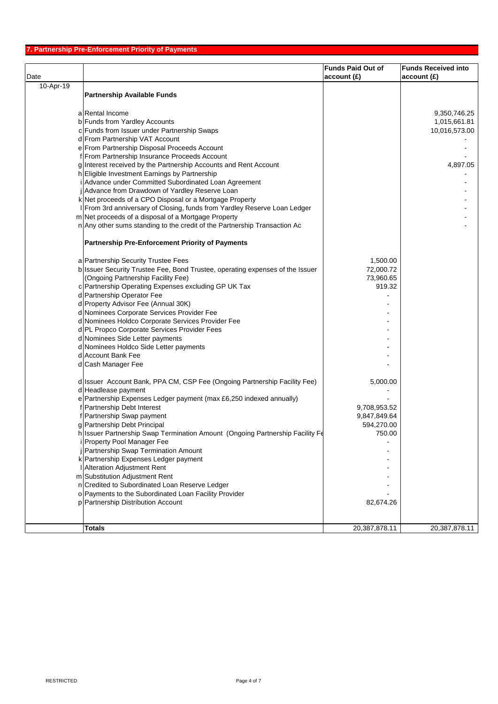|           |                                                                                                                   | <b>Funds Paid Out of</b> | <b>Funds Received into</b> |
|-----------|-------------------------------------------------------------------------------------------------------------------|--------------------------|----------------------------|
| Date      |                                                                                                                   | account(E)               | account(E)                 |
| 10-Apr-19 |                                                                                                                   |                          |                            |
|           | <b>Partnership Available Funds</b>                                                                                |                          |                            |
|           |                                                                                                                   |                          |                            |
|           | a Rental Income                                                                                                   |                          | 9,350,746.25               |
|           | b Funds from Yardley Accounts                                                                                     |                          | 1,015,661.81               |
|           | c Funds from Issuer under Partnership Swaps                                                                       |                          | 10,016,573.00              |
|           | d From Partnership VAT Account                                                                                    |                          |                            |
|           | e From Partnership Disposal Proceeds Account                                                                      |                          |                            |
|           | f From Partnership Insurance Proceeds Account                                                                     |                          |                            |
|           | g Interest received by the Partnership Accounts and Rent Account<br>h Eligible Investment Earnings by Partnership |                          | 4,897.05                   |
|           | Advance under Committed Subordinated Loan Agreement                                                               |                          |                            |
|           | Advance from Drawdown of Yardley Reserve Loan                                                                     |                          |                            |
|           | k Net proceeds of a CPO Disposal or a Mortgage Property                                                           |                          |                            |
|           | From 3rd anniversary of Closing, funds from Yardley Reserve Loan Ledger                                           |                          |                            |
|           | m Net proceeds of a disposal of a Mortgage Property                                                               |                          |                            |
|           | n Any other sums standing to the credit of the Partnership Transaction Ac                                         |                          |                            |
|           |                                                                                                                   |                          |                            |
|           | <b>Partnership Pre-Enforcement Priority of Payments</b>                                                           |                          |                            |
|           |                                                                                                                   |                          |                            |
|           | a Partnership Security Trustee Fees                                                                               | 1,500.00                 |                            |
|           | b Issuer Security Trustee Fee, Bond Trustee, operating expenses of the Issuer                                     | 72,000.72                |                            |
|           | (Ongoing Partnership Facility Fee)                                                                                | 73,960.65                |                            |
|           | c Partnership Operating Expenses excluding GP UK Tax                                                              | 919.32                   |                            |
|           | d Partnership Operator Fee                                                                                        |                          |                            |
|           | d Property Advisor Fee (Annual 30K)                                                                               |                          |                            |
|           | d Nominees Corporate Services Provider Fee                                                                        |                          |                            |
|           | d Nominees Holdco Corporate Services Provider Fee                                                                 |                          |                            |
|           | d PL Propco Corporate Services Provider Fees                                                                      |                          |                            |
|           | d Nominees Side Letter payments                                                                                   |                          |                            |
|           | d Nominees Holdco Side Letter payments<br>d Account Bank Fee                                                      |                          |                            |
|           | d Cash Manager Fee                                                                                                |                          |                            |
|           |                                                                                                                   |                          |                            |
|           | d Issuer Account Bank, PPA CM, CSP Fee (Ongoing Partnership Facility Fee)                                         | 5,000.00                 |                            |
|           | d Headlease payment                                                                                               |                          |                            |
|           | e Partnership Expenses Ledger payment (max £6,250 indexed annually)                                               |                          |                            |
|           | f Partnership Debt Interest                                                                                       | 9,708,953.52             |                            |
|           | f Partnership Swap payment                                                                                        | 9,847,849.64             |                            |
|           | g Partnership Debt Principal                                                                                      | 594,270.00               |                            |
|           | h Issuer Partnership Swap Termination Amount (Ongoing Partnership Facility Fe                                     | 750.00                   |                            |
|           | Property Pool Manager Fee                                                                                         |                          |                            |
|           | Partnership Swap Termination Amount                                                                               |                          |                            |
|           | k Partnership Expenses Ledger payment                                                                             |                          |                            |
|           | Alteration Adjustment Rent                                                                                        |                          |                            |
|           | m Substitution Adjustment Rent                                                                                    |                          |                            |
|           | n Credited to Subordinated Loan Reserve Ledger                                                                    |                          |                            |
|           | o Payments to the Subordinated Loan Facility Provider                                                             |                          |                            |
|           | p Partnership Distribution Account                                                                                | 82,674.26                |                            |
|           |                                                                                                                   |                          |                            |
|           | <b>Totals</b>                                                                                                     | 20,387,878.11            | 20,387,878.11              |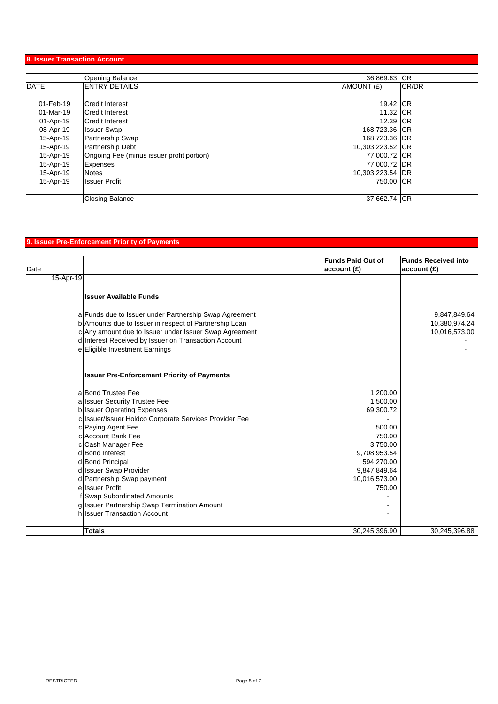### **8. Issuer Transaction Account**

|             | <b>Opening Balance</b>                    | 36,869.63 CR     |       |
|-------------|-------------------------------------------|------------------|-------|
| <b>DATE</b> | <b>ENTRY DETAILS</b>                      | AMOUNT (£)       | CR/DR |
|             |                                           |                  |       |
| 01-Feb-19   | <b>Credit Interest</b>                    | 19.42 CR         |       |
| 01-Mar-19   | Credit Interest                           | 11.32 ICR        |       |
| 01-Apr-19   | <b>Credit Interest</b>                    | 12.39 ICR        |       |
| 08-Apr-19   | <b>Issuer Swap</b>                        | 168,723.36 CR    |       |
| 15-Apr-19   | <b>Partnership Swap</b>                   | 168,723.36 DR    |       |
| 15-Apr-19   | <b>Partnership Debt</b>                   | 10,303,223.52 CR |       |
| 15-Apr-19   | Ongoing Fee (minus issuer profit portion) | 77,000.72 CR     |       |
| 15-Apr-19   | Expenses                                  | 77,000.72 DR     |       |
| 15-Apr-19   | Notes                                     | 10,303,223.54 DR |       |
| 15-Apr-19   | <b>Issuer Profit</b>                      | 750.00 ICR       |       |
|             |                                           |                  |       |
|             | <b>Closing Balance</b>                    | 37,662.74 CR     |       |

## **9. Issuer Pre-Enforcement Priority of Payments**

|           |                                                        | <b>Funds Paid Out of</b> | <b>Funds Received into</b> |
|-----------|--------------------------------------------------------|--------------------------|----------------------------|
| Date      |                                                        | account(E)               | account(E)                 |
| 15-Apr-19 |                                                        |                          |                            |
|           | <b>Issuer Available Funds</b>                          |                          |                            |
|           |                                                        |                          |                            |
|           | a Funds due to Issuer under Partnership Swap Agreement |                          | 9,847,849.64               |
|           | b Amounts due to Issuer in respect of Partnership Loan |                          | 10,380,974.24              |
|           | c Any amount due to Issuer under Issuer Swap Agreement |                          | 10,016,573.00              |
|           | d Interest Received by Issuer on Transaction Account   |                          |                            |
|           | e Eligible Investment Earnings                         |                          |                            |
|           | <b>Issuer Pre-Enforcement Priority of Payments</b>     |                          |                            |
|           | a Bond Trustee Fee                                     | 1,200.00                 |                            |
|           | a Issuer Security Trustee Fee                          | 1,500.00                 |                            |
|           | b Issuer Operating Expenses                            | 69,300.72                |                            |
|           | c Issuer/Issuer Holdco Corporate Services Provider Fee |                          |                            |
|           | c Paying Agent Fee                                     | 500.00                   |                            |
|           | c Account Bank Fee                                     | 750.00                   |                            |
|           | c Cash Manager Fee                                     | 3.750.00                 |                            |
|           | d Bond Interest                                        | 9,708,953.54             |                            |
|           | d Bond Principal                                       | 594,270.00               |                            |
|           | d Issuer Swap Provider                                 | 9,847,849.64             |                            |
|           | d Partnership Swap payment                             | 10,016,573.00            |                            |
|           | ellssuer Profit                                        | 750.00                   |                            |
|           | f Swap Subordinated Amounts                            |                          |                            |
|           | g Issuer Partnership Swap Termination Amount           |                          |                            |
|           | h Issuer Transaction Account                           |                          |                            |
|           | <b>Totals</b>                                          | 30,245,396.90            | 30,245,396.88              |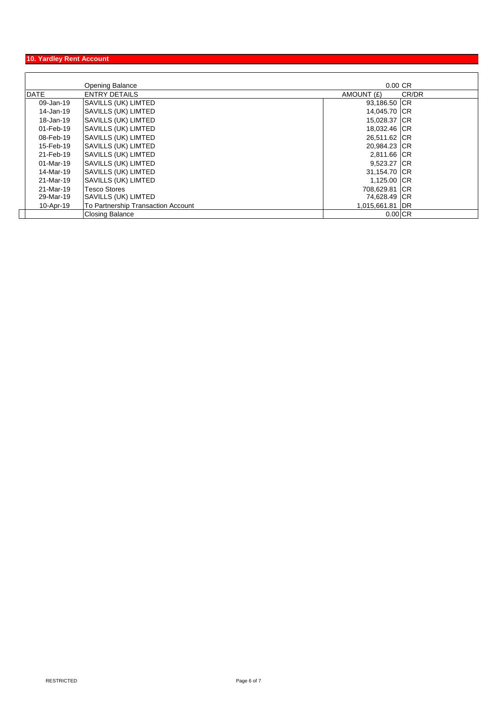## **10. Yardley Rent Account**

|             | Opening Balance                    | $0.00 \, \text{CR}$ |       |
|-------------|------------------------------------|---------------------|-------|
| <b>DATE</b> | <b>ENTRY DETAILS</b>               | AMOUNT (£)          | CR/DR |
| 09-Jan-19   | SAVILLS (UK) LIMTED                | 93,186.50 CR        |       |
| 14-Jan-19   | <b>SAVILLS (UK) LIMTED</b>         | 14,045.70 CR        |       |
| 18-Jan-19   | <b>SAVILLS (UK) LIMTED</b>         | 15,028.37 CR        |       |
| 01-Feb-19   | SAVILLS (UK) LIMTED                | 18,032.46 CR        |       |
| 08-Feb-19   | SAVILLS (UK) LIMTED                | 26,511.62 CR        |       |
| 15-Feb-19   | <b>SAVILLS (UK) LIMTED</b>         | 20,984.23 CR        |       |
| 21-Feb-19   | SAVILLS (UK) LIMTED                | 2,811.66 CR         |       |
| 01-Mar-19   | <b>SAVILLS (UK) LIMTED</b>         | 9,523.27 CR         |       |
| 14-Mar-19   | <b>SAVILLS (UK) LIMTED</b>         | 31,154.70 CR        |       |
| 21-Mar-19   | <b>SAVILLS (UK) LIMTED</b>         | 1,125.00 CR         |       |
| 21-Mar-19   | <b>Tesco Stores</b>                | 708,629.81 CR       |       |
| 29-Mar-19   | SAVILLS (UK) LIMTED                | 74,628.49 CR        |       |
| 10-Apr-19   | To Partnership Transaction Account | 1,015,661.81 DR     |       |
|             | <b>Closing Balance</b>             | $0.00$ CR           |       |